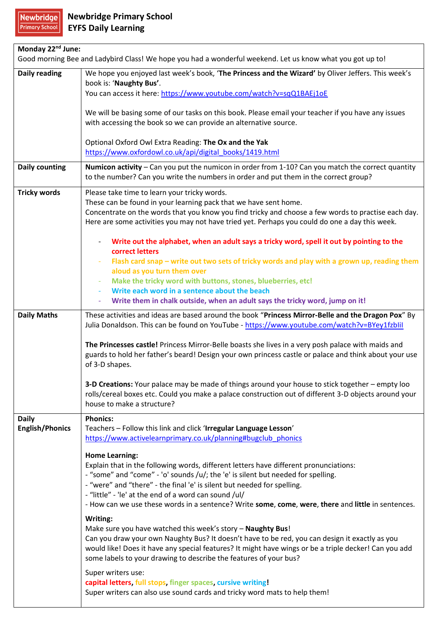## Newbridge

| Monday 22 <sup>nd</sup> June:                                                                             |                                                                                                                                                                                                             |  |
|-----------------------------------------------------------------------------------------------------------|-------------------------------------------------------------------------------------------------------------------------------------------------------------------------------------------------------------|--|
| Good morning Bee and Ladybird Class! We hope you had a wonderful weekend. Let us know what you got up to! |                                                                                                                                                                                                             |  |
| <b>Daily reading</b>                                                                                      | We hope you enjoyed last week's book, 'The Princess and the Wizard' by Oliver Jeffers. This week's                                                                                                          |  |
|                                                                                                           | book is: 'Naughty Bus'.<br>You can access it here: https://www.youtube.com/watch?v=sqQ1BAEj1oE                                                                                                              |  |
|                                                                                                           |                                                                                                                                                                                                             |  |
|                                                                                                           | We will be basing some of our tasks on this book. Please email your teacher if you have any issues                                                                                                          |  |
|                                                                                                           | with accessing the book so we can provide an alternative source.                                                                                                                                            |  |
|                                                                                                           | Optional Oxford Owl Extra Reading: The Ox and the Yak                                                                                                                                                       |  |
|                                                                                                           | https://www.oxfordowl.co.uk/api/digital_books/1419.html                                                                                                                                                     |  |
| <b>Daily counting</b>                                                                                     | Numicon activity - Can you put the numicon in order from 1-10? Can you match the correct quantity                                                                                                           |  |
|                                                                                                           | to the number? Can you write the numbers in order and put them in the correct group?                                                                                                                        |  |
| <b>Tricky words</b>                                                                                       | Please take time to learn your tricky words.                                                                                                                                                                |  |
|                                                                                                           | These can be found in your learning pack that we have sent home.                                                                                                                                            |  |
|                                                                                                           | Concentrate on the words that you know you find tricky and choose a few words to practise each day.<br>Here are some activities you may not have tried yet. Perhaps you could do one a day this week.       |  |
|                                                                                                           |                                                                                                                                                                                                             |  |
|                                                                                                           | Write out the alphabet, when an adult says a tricky word, spell it out by pointing to the<br>correct letters                                                                                                |  |
|                                                                                                           | Flash card snap – write out two sets of tricky words and play with a grown up, reading them<br>$\overline{\phantom{a}}$                                                                                     |  |
|                                                                                                           | aloud as you turn them over                                                                                                                                                                                 |  |
|                                                                                                           | Make the tricky word with buttons, stones, blueberries, etc!<br>Write each word in a sentence about the beach                                                                                               |  |
|                                                                                                           | Write them in chalk outside, when an adult says the tricky word, jump on it!                                                                                                                                |  |
| <b>Daily Maths</b>                                                                                        | These activities and ideas are based around the book "Princess Mirror-Belle and the Dragon Pox" By                                                                                                          |  |
|                                                                                                           | Julia Donaldson. This can be found on YouTube - https://www.youtube.com/watch?v=BYey1fzblil                                                                                                                 |  |
|                                                                                                           |                                                                                                                                                                                                             |  |
|                                                                                                           | The Princesses castle! Princess Mirror-Belle boasts she lives in a very posh palace with maids and<br>guards to hold her father's beard! Design your own princess castle or palace and think about your use |  |
|                                                                                                           | of 3-D shapes.                                                                                                                                                                                              |  |
|                                                                                                           |                                                                                                                                                                                                             |  |
|                                                                                                           | 3-D Creations: Your palace may be made of things around your house to stick together - empty loo                                                                                                            |  |
|                                                                                                           | rolls/cereal boxes etc. Could you make a palace construction out of different 3-D objects around your<br>house to make a structure?                                                                         |  |
| <b>Daily</b>                                                                                              | <b>Phonics:</b>                                                                                                                                                                                             |  |
| <b>English/Phonics</b>                                                                                    | Teachers - Follow this link and click 'Irregular Language Lesson'                                                                                                                                           |  |
|                                                                                                           | https://www.activelearnprimary.co.uk/planning#bugclub phonics                                                                                                                                               |  |
|                                                                                                           | <b>Home Learning:</b>                                                                                                                                                                                       |  |
|                                                                                                           | Explain that in the following words, different letters have different pronunciations:                                                                                                                       |  |
|                                                                                                           | - "some" and "come" - 'o' sounds /u/; the 'e' is silent but needed for spelling.                                                                                                                            |  |
|                                                                                                           | - "were" and "there" - the final 'e' is silent but needed for spelling.                                                                                                                                     |  |
|                                                                                                           | - "little" - 'le' at the end of a word can sound /ul/<br>- How can we use these words in a sentence? Write some, come, were, there and little in sentences.                                                 |  |
|                                                                                                           | Writing:                                                                                                                                                                                                    |  |
|                                                                                                           | Make sure you have watched this week's story - Naughty Bus!                                                                                                                                                 |  |
|                                                                                                           | Can you draw your own Naughty Bus? It doesn't have to be red, you can design it exactly as you                                                                                                              |  |
|                                                                                                           | would like! Does it have any special features? It might have wings or be a triple decker! Can you add                                                                                                       |  |
|                                                                                                           | some labels to your drawing to describe the features of your bus?                                                                                                                                           |  |
|                                                                                                           | Super writers use:                                                                                                                                                                                          |  |
|                                                                                                           | capital letters, full stops, finger spaces, cursive writing!<br>Super writers can also use sound cards and tricky word mats to help them!                                                                   |  |
|                                                                                                           |                                                                                                                                                                                                             |  |